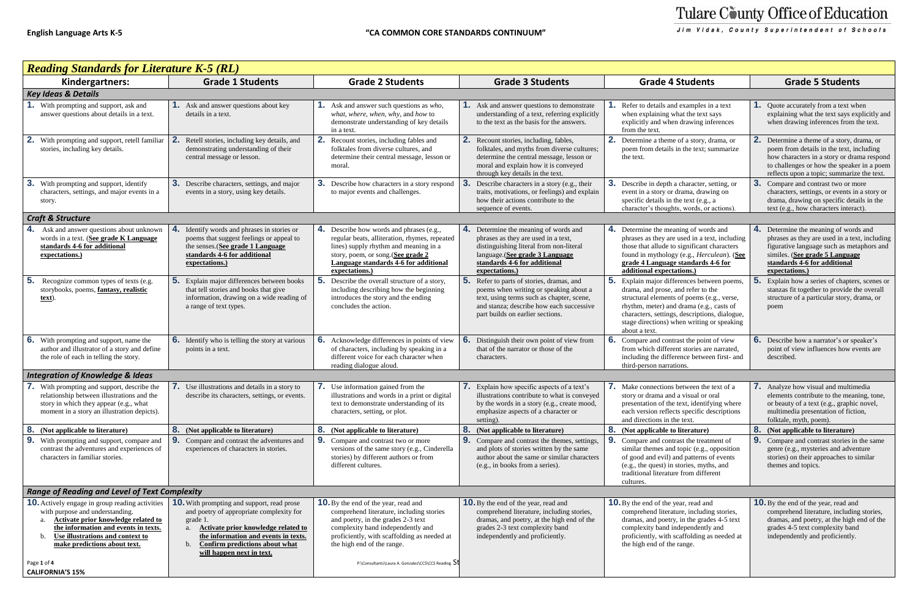| <b>Reading Standards for Literature K-5 (RL)</b>                                                                                                                                                                                                   |                                                                                                                                                                                                                                                                                  |                                                                                                                                                                                                                                                 |                                                                                                                                                                                                                  |                                                                                                                                                                                                                                                                                                |                                                                                                                                                                                                                               |
|----------------------------------------------------------------------------------------------------------------------------------------------------------------------------------------------------------------------------------------------------|----------------------------------------------------------------------------------------------------------------------------------------------------------------------------------------------------------------------------------------------------------------------------------|-------------------------------------------------------------------------------------------------------------------------------------------------------------------------------------------------------------------------------------------------|------------------------------------------------------------------------------------------------------------------------------------------------------------------------------------------------------------------|------------------------------------------------------------------------------------------------------------------------------------------------------------------------------------------------------------------------------------------------------------------------------------------------|-------------------------------------------------------------------------------------------------------------------------------------------------------------------------------------------------------------------------------|
| Kindergartners:                                                                                                                                                                                                                                    | <b>Grade 1 Students</b>                                                                                                                                                                                                                                                          | <b>Grade 2 Students</b>                                                                                                                                                                                                                         | <b>Grade 3 Students</b>                                                                                                                                                                                          | <b>Grade 4 Students</b>                                                                                                                                                                                                                                                                        | <b>Grade 5 Students</b>                                                                                                                                                                                                       |
| <b>Key Ideas &amp; Details</b>                                                                                                                                                                                                                     |                                                                                                                                                                                                                                                                                  |                                                                                                                                                                                                                                                 |                                                                                                                                                                                                                  |                                                                                                                                                                                                                                                                                                |                                                                                                                                                                                                                               |
| With prompting and support, ask and<br>answer questions about details in a text.                                                                                                                                                                   | <b>1.</b> Ask and answer questions about key<br>details in a text.                                                                                                                                                                                                               | Ask and answer such questions as who,<br>what, where, when, why, and how to<br>demonstrate understanding of key details<br>in a text.                                                                                                           | <b>1.</b> Ask and answer questions to demonstrate<br>understanding of a text, referring explicitly<br>to the text as the basis for the answers.                                                                  | Refer to details and examples in a text<br>when explaining what the text says<br>explicitly and when drawing inferences<br>from the text.                                                                                                                                                      | <b>1.</b> Quote accurately from a text when<br>explaining what the text says explicitly and<br>when drawing inferences from the text.                                                                                         |
| With prompting and support, retell familiar<br>stories, including key details.                                                                                                                                                                     | Retell stories, including key details, and<br>demonstrating understanding of their<br>central message or lesson.                                                                                                                                                                 | Recount stories, including fables and<br>folktales from diverse cultures, and<br>determine their central message, lesson or<br>moral.                                                                                                           | 2. Recount stories, including, fables,<br>folktales, and myths from diverse cultures;<br>determine the central message, lesson or<br>moral and explain how it is conveyed<br>through key details in the text.    | 2.<br>Determine a theme of a story, drama, or<br>poem from details in the text; summarize<br>the text.                                                                                                                                                                                         | Determine a theme of a story, drama, or<br>poem from details in the text, including<br>how characters in a story or drama respond<br>to challenges or how the speaker in a poem<br>reflects upon a topic; summarize the text. |
| 3.<br>With prompting and support, identify<br>characters, settings, and major events in a<br>story.                                                                                                                                                | 3. Describe characters, settings, and major<br>events in a story, using key details.                                                                                                                                                                                             | -3.<br>Describe how characters in a story respond<br>to major events and challenges.                                                                                                                                                            | 3.<br>Describe characters in a story (e.g., their<br>traits, motivations, or feelings) and explain<br>how their actions contribute to the<br>sequence of events.                                                 | 3.<br>Describe in depth a character, setting, or<br>event in a story or drama, drawing on<br>specific details in the text (e.g., a<br>character's thoughts, words, or actions).                                                                                                                | 3.<br>Compare and contrast two or more<br>characters, settings, or events in a story or<br>drama, drawing on specific details in the<br>text (e.g., how characters interact).                                                 |
| <b>Craft &amp; Structure</b>                                                                                                                                                                                                                       |                                                                                                                                                                                                                                                                                  |                                                                                                                                                                                                                                                 |                                                                                                                                                                                                                  |                                                                                                                                                                                                                                                                                                |                                                                                                                                                                                                                               |
| Ask and answer questions about unknown<br>words in a text. (See grade K Language<br>standards 4-6 for additional<br>expectations.)                                                                                                                 | 4.<br>Identify words and phrases in stories or<br>poems that suggest feelings or appeal to<br>the senses. (See grade 1 Language<br>standards 4-6 for additional<br>expectations.)                                                                                                | 4. Describe how words and phrases (e.g.,<br>regular beats, alliteration, rhymes, repeated<br>lines) supply rhythm and meaning in a<br>story, poem, or song. (See grade 2<br>Language standards 4-6 for additional<br>expectations.)             | 4. Determine the meaning of words and<br>phrases as they are used in a text,<br>distinguishing literal from non-literal<br>language. (See grade 3 Language<br>standards 4-6 for additional<br>expectations.)     | 4. Determine the meaning of words and<br>phrases as they are used in a text, including<br>those that allude to significant characters<br>found in mythology (e.g., Herculean). (See<br>grade 4 Language standards 4-6 for<br>additional expectations.)                                         | 4. Determine the meaning of words and<br>phrases as they are used in a text, including<br>figurative language such as metaphors and<br>similes. (See grade 5 Language<br>standards 4-6 for additional<br>expectations.)       |
| 5.<br>Recognize common types of texts (e.g.<br>storybooks, poems, fantasy, realistic<br>text).                                                                                                                                                     | 5.<br>Explain major differences between books<br>that tell stories and books that give<br>information, drawing on a wide reading of<br>a range of text types.                                                                                                                    | 5.<br>Describe the overall structure of a story,<br>including describing how the beginning<br>introduces the story and the ending<br>concludes the action.                                                                                      | 5. Refer to parts of stories, dramas, and<br>poems when writing or speaking about a<br>text, using terms such as chapter, scene,<br>and stanza; describe how each successive<br>part builds on earlier sections. | 5.<br>Explain major differences between poems,<br>drama, and prose, and refer to the<br>structural elements of poems (e.g., verse,<br>rhythm, meter) and drama (e.g., casts of<br>characters, settings, descriptions, dialogue,<br>stage directions) when writing or speaking<br>about a text. | Explain how a series of chapters, scenes or<br>stanzas fit together to provide the overall<br>structure of a particular story, drama, or<br>poem                                                                              |
| 6.<br>With prompting and support, name the<br>author and illustrator of a story and define<br>the role of each in telling the story.                                                                                                               | <b>6.</b> Identify who is telling the story at various<br>points in a text.                                                                                                                                                                                                      | 6.<br>Acknowledge differences in points of view<br>of characters, including by speaking in a<br>different voice for each character when<br>reading dialogue aloud.                                                                              | 6.<br>Distinguish their own point of view from<br>that of the narrator or those of the<br>characters.                                                                                                            | 6.<br>Compare and contrast the point of view<br>from which different stories are narrated,<br>including the difference between first- and<br>third-person narrations.                                                                                                                          | <b>6.</b> Describe how a narrator's or speaker's<br>point of view influences how events are<br>described.                                                                                                                     |
| <b>Integration of Knowledge &amp; Ideas</b>                                                                                                                                                                                                        |                                                                                                                                                                                                                                                                                  |                                                                                                                                                                                                                                                 |                                                                                                                                                                                                                  |                                                                                                                                                                                                                                                                                                |                                                                                                                                                                                                                               |
| 7. With prompting and support, describe the<br>relationship between illustrations and the<br>story in which they appear (e.g., what<br>moment in a story an illustration depicts).                                                                 | 7. Use illustrations and details in a story to<br>describe its characters, settings, or events.                                                                                                                                                                                  | Use information gained from the<br>illustrations and words in a print or digital<br>text to demonstrate understanding of its<br>characters, setting, or plot.                                                                                   | <b>7.</b> Explain how specific aspects of a text's<br>illustrations contribute to what is conveyed<br>by the words in a story (e.g., create mood,<br>emphasize aspects of a character or<br>setting).            | <b>7.</b> Make connections between the text of a<br>story or drama and a visual or oral<br>presentation of the text, identifying where<br>each version reflects specific descriptions<br>and directions in the text.                                                                           | <b>7.</b> Analyze how visual and multimedia<br>elements contribute to the meaning, tone,<br>or beauty of a text (e.g., graphic novel,<br>multimedia presentation of fiction,<br>folktale, myth, poem).                        |
| 8.<br>(Not applicable to literature)                                                                                                                                                                                                               | <b>8.</b> (Not applicable to literature)                                                                                                                                                                                                                                         | <b>8.</b> (Not applicable to literature)                                                                                                                                                                                                        | <b>8.</b> (Not applicable to literature)                                                                                                                                                                         | 8.<br>(Not applicable to literature)                                                                                                                                                                                                                                                           | <b>8.</b> (Not applicable to literature)                                                                                                                                                                                      |
| 9.<br>With prompting and support, compare and<br>contrast the adventures and experiences of<br>characters in familiar stories.                                                                                                                     | <b>9.</b> Compare and contrast the adventures and<br>experiences of characters in stories.                                                                                                                                                                                       | 9.<br>Compare and contrast two or more<br>versions of the same story (e.g., Cinderella<br>stories) by different authors or from<br>different cultures.                                                                                          | <b>9.</b> Compare and contrast the themes, settings,<br>and plots of stories written by the same<br>author about the same or similar characters<br>(e.g., in books from a series).                               | 9.<br>Compare and contrast the treatment of<br>similar themes and topic (e.g., opposition<br>of good and evil) and patterns of events<br>(e.g., the quest) in stories, myths, and<br>traditional literature from different<br>cultures.                                                        | <b>9.</b> Compare and contrast stories in the same<br>genre (e.g., mysteries and adventure<br>stories) on their approaches to similar<br>themes and topics.                                                                   |
| <b>Range of Reading and Level of Text Complexity</b>                                                                                                                                                                                               |                                                                                                                                                                                                                                                                                  |                                                                                                                                                                                                                                                 |                                                                                                                                                                                                                  |                                                                                                                                                                                                                                                                                                |                                                                                                                                                                                                                               |
| <b>10.</b> Actively engage in group reading activities<br>with purpose and understanding.<br>Activate prior knowledge related to<br>the information and events in texts.<br>Use illustrations and context to<br>b.<br>make predictions about text. | <b>10.</b> With prompting and support, read prose<br>and poetry of appropriate complexity for<br>grade 1.<br><b>Activate prior knowledge related to</b><br>a <sub>1</sub><br>the information and events in texts.<br>Confirm predictions about what<br>will happen next in text. | <b>10.</b> By the end of the year, read and<br>comprehend literature, including stories<br>and poetry, in the grades 2-3 text<br>complexity band independently and<br>proficiently, with scaffolding as needed at<br>the high end of the range. | <b>10.</b> By the end of the year, read and<br>comprehend literature, including stories,<br>dramas, and poetry, at the high end of the<br>grades 2-3 text complexity band<br>independently and proficiently.     | <b>10.</b> By the end of the year, read and<br>comprehend literature, including stories,<br>dramas, and poetry, in the grades 4-5 text<br>complexity band independently and<br>proficiently, with scaffolding as needed at<br>the high end of the range.                                       | <b>10.</b> By the end of the year, read and<br>comprehend literature, including stories,<br>dramas, and poetry, at the high end of the<br>grades 4-5 text complexity band<br>independently and proficiently.                  |
| Page 1 of 4<br><b>CALIFORNIA'S 15%</b>                                                                                                                                                                                                             |                                                                                                                                                                                                                                                                                  | P:\Consultants\Laura A. Gonzalez\CCS\CCS Reading 50                                                                                                                                                                                             |                                                                                                                                                                                                                  |                                                                                                                                                                                                                                                                                                |                                                                                                                                                                                                                               |

# Tulare County Office of Education

Jim Vidak, County Superintendent of Schools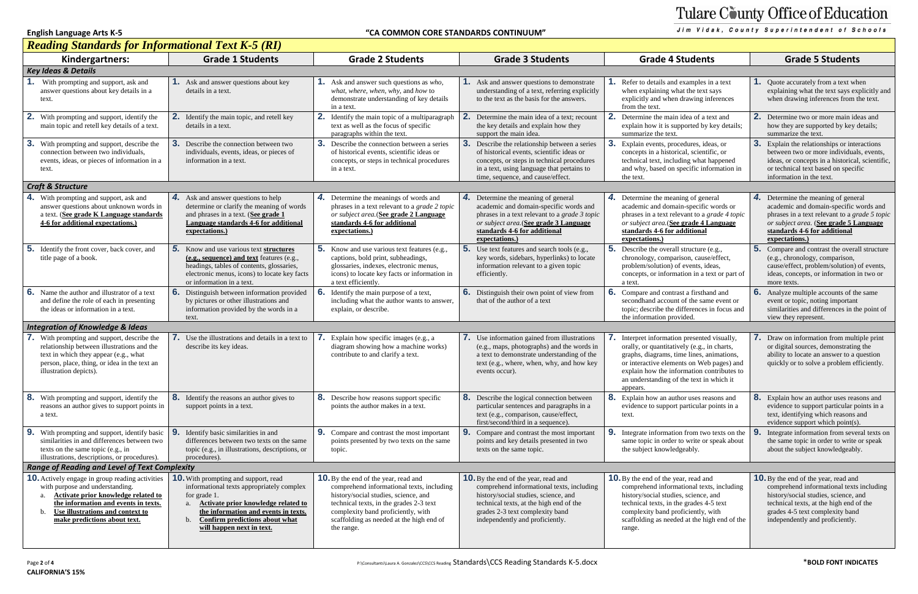### **English Language Arts K-5 "CA COMMON CORE STANDARDS CONTINUUM"**

# Tulare County Office of Education

Jim Vidak, County Superintendent of Schools



## *Reading Standards for Informational Text K-5 (RI)*

| $\frac{1}{2}$ $\frac{1}{2}$ $\frac{1}{2}$ $\frac{1}{2}$ $\frac{1}{2}$ $\frac{1}{2}$ $\frac{1}{2}$ $\frac{1}{2}$ $\frac{1}{2}$ $\frac{1}{2}$ $\frac{1}{2}$ $\frac{1}{2}$ $\frac{1}{2}$ $\frac{1}{2}$ $\frac{1}{2}$ $\frac{1}{2}$ $\frac{1}{2}$ $\frac{1}{2}$ $\frac{1}{2}$ $\frac{1}{2}$ $\frac{1}{2}$ $\frac{1}{2}$<br>Kindergartners: | <b>Grade 1 Students</b>                                                                                                                                                                                                                                            | <b>Grade 2 Students</b>                                                                                                                                                                                                                                                     | <b>Grade 3 Students</b>                                                                                                                                                                                                                           | <b>Grade 4 Students</b>                                                                                                                                                                                                                                                                  | <b>Grade 5 Students</b>                                                                                                                                                                                                                          |  |
|----------------------------------------------------------------------------------------------------------------------------------------------------------------------------------------------------------------------------------------------------------------------------------------------------------------------------------------|--------------------------------------------------------------------------------------------------------------------------------------------------------------------------------------------------------------------------------------------------------------------|-----------------------------------------------------------------------------------------------------------------------------------------------------------------------------------------------------------------------------------------------------------------------------|---------------------------------------------------------------------------------------------------------------------------------------------------------------------------------------------------------------------------------------------------|------------------------------------------------------------------------------------------------------------------------------------------------------------------------------------------------------------------------------------------------------------------------------------------|--------------------------------------------------------------------------------------------------------------------------------------------------------------------------------------------------------------------------------------------------|--|
| <b>Key Ideas &amp; Details</b>                                                                                                                                                                                                                                                                                                         |                                                                                                                                                                                                                                                                    |                                                                                                                                                                                                                                                                             |                                                                                                                                                                                                                                                   |                                                                                                                                                                                                                                                                                          |                                                                                                                                                                                                                                                  |  |
| With prompting and support, ask and<br>answer questions about key details in a<br>text.                                                                                                                                                                                                                                                | <b>1.</b> Ask and answer questions about key<br>details in a text.                                                                                                                                                                                                 | <b>1.</b> Ask and answer such questions as <i>who</i> ,<br>what, where, when, why, and how to<br>demonstrate understanding of key details<br>in a text.                                                                                                                     | <b>1.</b> Ask and answer questions to demonstrate<br>understanding of a text, referring explicitly<br>to the text as the basis for the answers.                                                                                                   | Refer to details and examples in a text<br>when explaining what the text says<br>explicitly and when drawing inferences<br>from the text.                                                                                                                                                | <b>1.</b> Quote accurately from a text when<br>explaining what the text says explicitly and<br>when drawing inferences from the text.                                                                                                            |  |
| 2.<br>With prompting and support, identify the<br>main topic and retell key details of a text.                                                                                                                                                                                                                                         | <b>2.</b> Identify the main topic, and retell key<br>details in a text.                                                                                                                                                                                            | 2.<br>Identify the main topic of a multiparagraph<br>text as well as the focus of specific<br>paragraphs within the text.                                                                                                                                                   | 2.<br>Determine the main idea of a text; recount<br>the key details and explain how they<br>support the main idea.                                                                                                                                | 2. Determine the main idea of a text and<br>explain how it is supported by key details;<br>summarize the text.                                                                                                                                                                           | 2. Determine two or more main ideas and<br>how they are supported by key details;<br>summarize the text.                                                                                                                                         |  |
| 3.<br>With prompting and support, describe the<br>connection between two individuals,<br>events, ideas, or pieces of information in a<br>text.                                                                                                                                                                                         | 3.<br>Describe the connection between two<br>individuals, events, ideas, or pieces of<br>information in a text.                                                                                                                                                    | 3.<br>Describe the connection between a series<br>of historical events, scientific ideas or<br>concepts, or steps in technical procedures<br>in a text.                                                                                                                     | 3. Describe the relationship between a series<br>of historical events, scientific ideas or<br>concepts, or steps in technical procedures<br>in a text, using language that pertains to<br>time, sequence, and cause/effect.                       | 3.<br>Explain events, procedures, ideas, or<br>concepts in a historical, scientific, or<br>technical text, including what happened<br>and why, based on specific information in<br>the text.                                                                                             | Explain the relationships or interactions<br>between two or more individuals, events,<br>ideas, or concepts in a historical, scientific,<br>or technical text based on specific<br>information in the text.                                      |  |
| <b>Craft &amp; Structure</b>                                                                                                                                                                                                                                                                                                           |                                                                                                                                                                                                                                                                    |                                                                                                                                                                                                                                                                             |                                                                                                                                                                                                                                                   |                                                                                                                                                                                                                                                                                          |                                                                                                                                                                                                                                                  |  |
| 4.<br>With prompting and support, ask and<br>answer questions about unknown words in<br>a text. (See grade K Language standards<br>4-6 for additional expectations.)                                                                                                                                                                   | <b>4.</b> Ask and answer questions to help<br>determine or clarify the meaning of words<br>and phrases in a text. (See grade 1<br>Language standards 4-6 for additional<br>expectations.)                                                                          | 4.<br>Determine the meanings of words and<br>phrases in a text relevant to a grade 2 topic<br>or subject area. (See grade 2 Language<br>standards 4-6 for additional<br>expectations.)                                                                                      | 4. Determine the meaning of general<br>academic and domain-specific words and<br>phrases in a text relevant to a grade 3 topic<br>or subject area. (See grade 3 Language<br>standards 4-6 for additional<br>expectations.                         | 4. Determine the meaning of general<br>academic and domain-specific words or<br>phrases in a text relevant to a grade 4 topic<br>or subject area. (See grade 4 Language<br>standards 4-6 for additional<br>expectations.)                                                                | 4. Determine the meaning of general<br>academic and domain-specific words and<br>phrases in a text relevant to a grade 5 topic<br>or subject area. (See grade 5 Language<br>standards 4-6 for additional<br>expectations.)                       |  |
| 5 <sub>1</sub><br>Identify the front cover, back cover, and<br>title page of a book.                                                                                                                                                                                                                                                   | <b>5.</b> Know and use various text structures<br>(e.g., sequence) and text features (e.g.,<br>headings, tables of contents, glossaries,<br>electronic menus, icons) to locate key facts<br>or information in a text.                                              | 5.<br>Know and use various text features (e.g.,<br>captions, bold print, subheadings,<br>glossaries, indexes, electronic menus,<br>icons) to locate key facts or information in<br>a text efficiently.                                                                      | 5. Use text features and search tools (e.g.,<br>key words, sidebars, hyperlinks) to locate<br>information relevant to a given topic<br>efficiently.                                                                                               | <b>5.</b> Describe the overall structure (e.g.,<br>chronology, comparison, cause/effect,<br>problem/solution) of events, ideas,<br>concepts, or information in a text or part of<br>a text.                                                                                              | <b>5.</b> Compare and contrast the overall structure<br>(e.g., chronology, comparison,<br>cause/effect, problem/solution) of events,<br>ideas, concepts, or information in two or<br>more texts.                                                 |  |
| 6.<br>Name the author and illustrator of a text<br>and define the role of each in presenting<br>the ideas or information in a text.                                                                                                                                                                                                    | 6. Distinguish between information provided<br>by pictures or other illustrations and<br>information provided by the words in a<br>text.                                                                                                                           | Identify the main purpose of a text,<br>including what the author wants to answer,<br>explain, or describe.                                                                                                                                                                 | <b>6.</b> Distinguish their own point of view from<br>that of the author of a text                                                                                                                                                                | 6.<br>Compare and contrast a firsthand and<br>secondhand account of the same event or<br>topic; describe the differences in focus and<br>the information provided.                                                                                                                       | <b>6.</b> Analyze multiple accounts of the same<br>event or topic, noting important<br>similarities and differences in the point of<br>view they represent.                                                                                      |  |
| <b>Integration of Knowledge &amp; Ideas</b>                                                                                                                                                                                                                                                                                            |                                                                                                                                                                                                                                                                    |                                                                                                                                                                                                                                                                             |                                                                                                                                                                                                                                                   |                                                                                                                                                                                                                                                                                          |                                                                                                                                                                                                                                                  |  |
| With prompting and support, describe the<br>relationship between illustrations and the<br>text in which they appear (e.g., what<br>person, place, thing, or idea in the text an<br>illustration depicts).                                                                                                                              | <b>7.</b> Use the illustrations and details in a text to<br>describe its key ideas.                                                                                                                                                                                | Explain how specific images (e.g., a<br>diagram showing how a machine works)<br>contribute to and clarify a text.                                                                                                                                                           | 7. Use information gained from illustrations<br>(e.g., maps, photographs) and the words in<br>a text to demonstrate understanding of the<br>text (e.g., where, when, why, and how key<br>events occur).                                           | Interpret information presented visually,<br>orally, or quantitatively (e.g., in charts,<br>graphs, diagrams, time lines, animations,<br>or interactive elements on Web pages) and<br>explain how the information contributes to<br>an understanding of the text in which it<br>appears. | Draw on information from multiple print<br>or digital sources, demonstrating the<br>ability to locate an answer to a question<br>quickly or to solve a problem efficiently.                                                                      |  |
| 8.<br>With prompting and support, identify the<br>reasons an author gives to support points in<br>a text.                                                                                                                                                                                                                              | 8. Identify the reasons an author gives to<br>support points in a text.                                                                                                                                                                                            | 8. Describe how reasons support specific<br>points the author makes in a text.                                                                                                                                                                                              | <b>8.</b> Describe the logical connection between<br>particular sentences and paragraphs in a<br>text (e.g., comparison, cause/effect,<br>first/second/third in a sequence).                                                                      | 8. Explain how an author uses reasons and<br>evidence to support particular points in a<br>text.                                                                                                                                                                                         | 8. Explain how an author uses reasons and<br>evidence to support particular points in a<br>text, identifying which reasons and<br>evidence support which point(s).                                                                               |  |
| 9.<br>With prompting and support, identify basic<br>similarities in and differences between two<br>texts on the same topic (e.g., in<br>illustrations, descriptions, or procedures).                                                                                                                                                   | 9.<br>Identify basic similarities in and<br>differences between two texts on the same<br>topic (e.g., in illustrations, descriptions, or<br>procedures).                                                                                                           | 9.<br>Compare and contrast the most important<br>points presented by two texts on the same<br>topic.                                                                                                                                                                        | Compare and contrast the most important<br>points and key details presented in two<br>texts on the same topic.                                                                                                                                    | Integrate information from two texts on the<br>same topic in order to write or speak about<br>the subject knowledgeably.                                                                                                                                                                 | Integrate information from several texts on<br>the same topic in order to write or speak<br>about the subject knowledgeably.                                                                                                                     |  |
| <b>Range of Reading and Level of Text Complexity</b>                                                                                                                                                                                                                                                                                   |                                                                                                                                                                                                                                                                    |                                                                                                                                                                                                                                                                             |                                                                                                                                                                                                                                                   |                                                                                                                                                                                                                                                                                          |                                                                                                                                                                                                                                                  |  |
| <b>10.</b> Actively engage in group reading activities<br>with purpose and understanding.<br>Activate prior knowledge related to<br>the information and events in texts.<br>Use illustrations and context to<br>b.<br>make predictions about text.                                                                                     | <b>10.</b> With prompting and support, read<br>informational texts appropriately complex<br>for grade 1.<br>Activate prior knowledge related to<br>a.<br>the information and events in texts.<br>Confirm predictions about what<br>b.<br>will happen next in text. | <b>10.</b> By the end of the year, read and<br>comprehend informational texts, including<br>history/social studies, science, and<br>technical texts, in the grades 2-3 text<br>complexity band proficiently, with<br>scaffolding as needed at the high end of<br>the range. | <b>10.</b> By the end of the year, read and<br>comprehend informational texts, including<br>history/social studies, science, and<br>technical texts, at the high end of the<br>grades 2-3 text complexity band<br>independently and proficiently. | <b>10.</b> By the end of the year, read and<br>comprehend informational texts, including<br>history/social studies, science, and<br>technical texts, in the grades 4-5 text<br>complexity band proficiently, with<br>scaffolding as needed at the high end of the<br>range.              | <b>10.</b> By the end of the year, read and<br>comprehend informational texts including<br>history/social studies, science, and<br>technical texts, at the high end of the<br>grades 4-5 text complexity band<br>independently and proficiently. |  |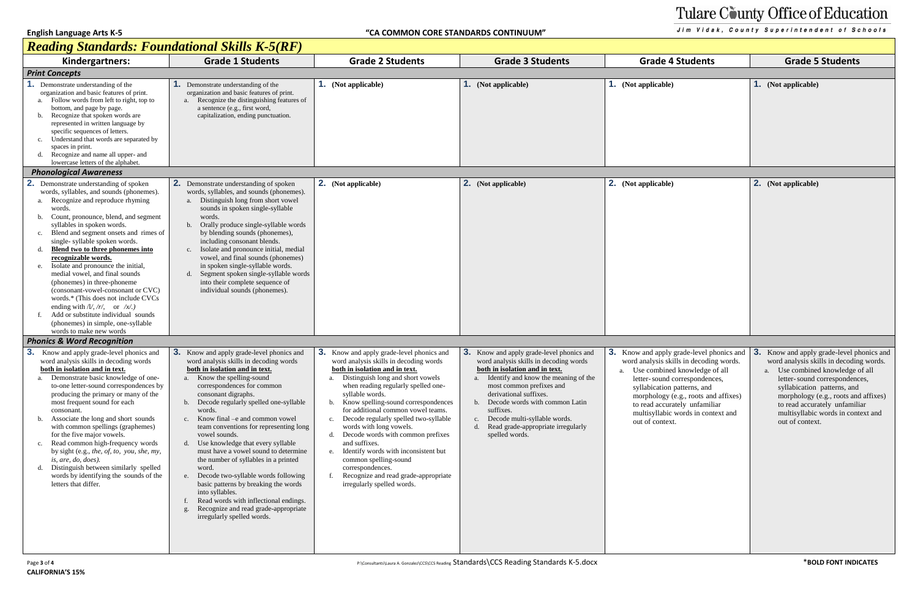# Tulare County Office of Education

Jim Vidak, County Superintendent of Schools

## *Reading Standards: Foundational Skills K-5(RF)*

| <u> Reaaing Sianaaras: Foundational Skills R-5(RF)</u>                                                                                                                                                                                                                                                                                                                                                                                                                                                                                                                                                                                                                                                    |                                                                                                                                                                                                                                                                                                                                                                                                                                                                                                                                                                                                                                                                                                                                |                                                                                                                                                                                                                                                                                                                                                                                                                                                                                                                                                                                                                       |                                                                                                                                                                                                                                                                                                                                                                     |                                                                                                                                                                                                                                                                                                                         |                                                                                                                                                                                                                                                                                                                            |  |
|-----------------------------------------------------------------------------------------------------------------------------------------------------------------------------------------------------------------------------------------------------------------------------------------------------------------------------------------------------------------------------------------------------------------------------------------------------------------------------------------------------------------------------------------------------------------------------------------------------------------------------------------------------------------------------------------------------------|--------------------------------------------------------------------------------------------------------------------------------------------------------------------------------------------------------------------------------------------------------------------------------------------------------------------------------------------------------------------------------------------------------------------------------------------------------------------------------------------------------------------------------------------------------------------------------------------------------------------------------------------------------------------------------------------------------------------------------|-----------------------------------------------------------------------------------------------------------------------------------------------------------------------------------------------------------------------------------------------------------------------------------------------------------------------------------------------------------------------------------------------------------------------------------------------------------------------------------------------------------------------------------------------------------------------------------------------------------------------|---------------------------------------------------------------------------------------------------------------------------------------------------------------------------------------------------------------------------------------------------------------------------------------------------------------------------------------------------------------------|-------------------------------------------------------------------------------------------------------------------------------------------------------------------------------------------------------------------------------------------------------------------------------------------------------------------------|----------------------------------------------------------------------------------------------------------------------------------------------------------------------------------------------------------------------------------------------------------------------------------------------------------------------------|--|
| Kindergartners:                                                                                                                                                                                                                                                                                                                                                                                                                                                                                                                                                                                                                                                                                           | <b>Grade 1 Students</b>                                                                                                                                                                                                                                                                                                                                                                                                                                                                                                                                                                                                                                                                                                        | <b>Grade 2 Students</b>                                                                                                                                                                                                                                                                                                                                                                                                                                                                                                                                                                                               | <b>Grade 3 Students</b>                                                                                                                                                                                                                                                                                                                                             | <b>Grade 4 Students</b>                                                                                                                                                                                                                                                                                                 | <b>Grade 5 Students</b>                                                                                                                                                                                                                                                                                                    |  |
| <b>Print Concepts</b>                                                                                                                                                                                                                                                                                                                                                                                                                                                                                                                                                                                                                                                                                     |                                                                                                                                                                                                                                                                                                                                                                                                                                                                                                                                                                                                                                                                                                                                |                                                                                                                                                                                                                                                                                                                                                                                                                                                                                                                                                                                                                       |                                                                                                                                                                                                                                                                                                                                                                     |                                                                                                                                                                                                                                                                                                                         |                                                                                                                                                                                                                                                                                                                            |  |
| Demonstrate understanding of the<br>organization and basic features of print.<br>Follow words from left to right, top to<br>bottom, and page by page.<br>Recognize that spoken words are<br>represented in written language by<br>specific sequences of letters.<br>Understand that words are separated by<br>c.<br>spaces in print.<br>Recognize and name all upper- and<br>d.<br>lowercase letters of the alphabet.                                                                                                                                                                                                                                                                                     | <b>1.</b> Demonstrate understanding of the<br>organization and basic features of print.<br>Recognize the distinguishing features of<br>a sentence (e.g., first word,<br>capitalization, ending punctuation.                                                                                                                                                                                                                                                                                                                                                                                                                                                                                                                    | (Not applicable)                                                                                                                                                                                                                                                                                                                                                                                                                                                                                                                                                                                                      | <b>1.</b> (Not applicable)                                                                                                                                                                                                                                                                                                                                          | 1. (Not applicable)                                                                                                                                                                                                                                                                                                     | <b>1.</b> (Not applicable)                                                                                                                                                                                                                                                                                                 |  |
| <b>Phonological Awareness</b>                                                                                                                                                                                                                                                                                                                                                                                                                                                                                                                                                                                                                                                                             |                                                                                                                                                                                                                                                                                                                                                                                                                                                                                                                                                                                                                                                                                                                                |                                                                                                                                                                                                                                                                                                                                                                                                                                                                                                                                                                                                                       |                                                                                                                                                                                                                                                                                                                                                                     |                                                                                                                                                                                                                                                                                                                         |                                                                                                                                                                                                                                                                                                                            |  |
| 2. Demonstrate understanding of spoken<br>words, syllables, and sounds (phonemes).<br>Recognize and reproduce rhyming<br>words.<br>Count, pronounce, blend, and segment<br>b.<br>syllables in spoken words.<br>Blend and segment onsets and rimes of<br>c.<br>single-syllable spoken words.<br>Blend two to three phonemes into<br>d.<br>recognizable words.<br>Isolate and pronounce the initial,<br>e.<br>medial vowel, and final sounds<br>(phonemes) in three-phoneme<br>(consonant-vowel-consonant or CVC)<br>words.* (This does not include CVCs)<br>ending with $/l/$ , $/r/$ , or $/x/$ .<br>Add or substitute individual sounds<br>(phonemes) in simple, one-syllable<br>words to make new words | <b>2.</b> Demonstrate understanding of spoken<br>words, syllables, and sounds (phonemes).<br>a. Distinguish long from short vowel<br>sounds in spoken single-syllable<br>words.<br>b. Orally produce single-syllable words<br>by blending sounds (phonemes),<br>including consonant blends.<br>Isolate and pronounce initial, medial<br>vowel, and final sounds (phonemes)<br>in spoken single-syllable words.<br>d. Segment spoken single-syllable words<br>into their complete sequence of<br>individual sounds (phonemes).                                                                                                                                                                                                  | 2. (Not applicable)                                                                                                                                                                                                                                                                                                                                                                                                                                                                                                                                                                                                   | <b>2.</b> (Not applicable)                                                                                                                                                                                                                                                                                                                                          | 2. (Not applicable)                                                                                                                                                                                                                                                                                                     | 2. (Not applicable)                                                                                                                                                                                                                                                                                                        |  |
| <b>Phonics &amp; Word Recognition</b>                                                                                                                                                                                                                                                                                                                                                                                                                                                                                                                                                                                                                                                                     |                                                                                                                                                                                                                                                                                                                                                                                                                                                                                                                                                                                                                                                                                                                                |                                                                                                                                                                                                                                                                                                                                                                                                                                                                                                                                                                                                                       |                                                                                                                                                                                                                                                                                                                                                                     |                                                                                                                                                                                                                                                                                                                         |                                                                                                                                                                                                                                                                                                                            |  |
| 3.<br>Know and apply grade-level phonics and<br>word analysis skills in decoding words<br>both in isolation and in text.<br>a. Demonstrate basic knowledge of one-<br>to-one letter-sound correspondences by<br>producing the primary or many of the<br>most frequent sound for each<br>consonant.<br>Associate the long and short sounds<br>with common spellings (graphemes)<br>for the five major vowels.<br>Read common high-frequency words<br>c.<br>by sight (e.g., the, of, to, you, she, my,<br>is, are, do, does).<br>Distinguish between similarly spelled<br>d.<br>words by identifying the sounds of the<br>letters that differ.                                                              | <b>3.</b> Know and apply grade-level phonics and<br>word analysis skills in decoding words<br>both in isolation and in text.<br>Know the spelling-sound<br>a.<br>correspondences for common<br>consonant digraphs.<br>b. Decode regularly spelled one-syllable<br>words.<br>c. Know final – e and common vowel<br>team conventions for representing long<br>vowel sounds.<br>d. Use knowledge that every syllable<br>must have a vowel sound to determine<br>the number of syllables in a printed<br>word.<br>e. Decode two-syllable words following<br>basic patterns by breaking the words<br>into syllables.<br>Read words with inflectional endings.<br>Recognize and read grade-appropriate<br>irregularly spelled words. | <b>3.</b> Know and apply grade-level phonics and<br>word analysis skills in decoding words<br>both in isolation and in text.<br>Distinguish long and short vowels<br>when reading regularly spelled one-<br>syllable words.<br>Know spelling-sound correspondences<br>b.<br>for additional common vowel teams.<br>Decode regularly spelled two-syllable<br>c.<br>words with long vowels.<br>Decode words with common prefixes<br>d.<br>and suffixes.<br>Identify words with inconsistent but<br>e.<br>common spelling-sound<br>correspondences.<br>Recognize and read grade-appropriate<br>irregularly spelled words. | 3. Know and apply grade-level phonics and<br>word analysis skills in decoding words<br>both in isolation and in text.<br>a. Identify and know the meaning of the<br>most common prefixes and<br>derivational suffixes.<br>Decode words with common Latin<br>suffixes.<br>c. Decode multi-syllable words.<br>d. Read grade-appropriate irregularly<br>spelled words. | 3. Know and apply grade-level phonics and<br>word analysis skills in decoding words.<br>Use combined knowledge of all<br>letter-sound correspondences,<br>syllabication patterns, and<br>morphology (e.g., roots and affixes)<br>to read accurately unfamiliar<br>multisyllabic words in context and<br>out of context. | 3.<br>Know and apply grade-level phonics and<br>word analysis skills in decoding words.<br>Use combined knowledge of all<br>letter-sound correspondences,<br>syllabication patterns, and<br>morphology (e.g., roots and affixes)<br>to read accurately unfamiliar<br>multisyllabic words in context and<br>out of context. |  |